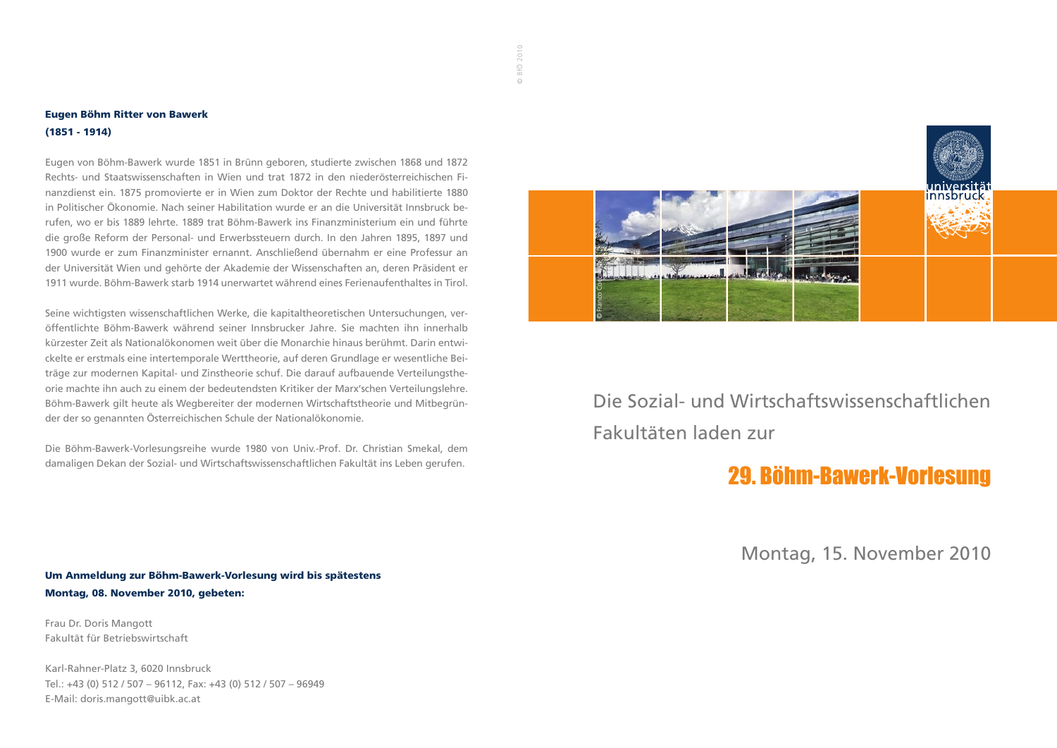#### Eugen Böhm Ritter von Bawerk (1851 - 1914)

Eugen von Böhm-Bawerk wurde 1851 in Brünn geboren, studierte zwischen 1868 und 1872 Rechts- und Staatswissenschaften in Wien und trat 1872 in den niederösterreichischen Finanzdienst ein. 1875 promovierte er in Wien zum Doktor der Rechte und habilitierte 1880 in Politischer Ökonomie. Nach seiner Habilitation wurde er an die Universität Innsbruck berufen, wo er bis 1889 lehrte. 1889 trat Böhm-Bawerk ins Finanzministerium ein und führte die große Reform der Personal- und Erwerbssteuern durch. In den Jahren 1895, 1897 und 1900 wurde er zum Finanzminister ernannt. Anschließend übernahm er eine Professur an der Universität Wien und gehörte der Akademie der Wissenschaften an, deren Präsident er 1911 wurde. Böhm-Bawerk starb 1914 unerwartet während eines Ferienaufenthaltes in Tirol.

Seine wichtigsten wissenschaftlichen Werke, die kapitaltheoretischen Untersuchungen, veröffentlichte Böhm-Bawerk während seiner Innsbrucker Jahre. Sie machten ihn innerhalb kürzester Zeit als Nationalökonomen weit über die Monarchie hinaus berühmt. Darin entwickelte er erstmals eine intertemporale Werttheorie, auf deren Grundlage er wesentliche Beiträge zur modernen Kapital- und Zinstheorie schuf. Die darauf aufbauende Verteilungstheorie machte ihn auch zu einem der bedeutendsten Kritiker der Marx'schen Verteilungslehre. Böhm-Bawerk gilt heute als Wegbereiter der modernen Wirtschaftstheorie und Mitbegründer der so genannten Österreichischen Schule der Nationalökonomie.

Die Böhm-Bawerk-Vorlesungsreihe wurde 1980 von Univ.-Prof. Dr. Christian Smekal, dem damaligen Dekan der Sozial- und Wirtschaftswissenschaftlichen Fakultät ins Leben gerufen.

Um Anmeldung zur Böhm-Bawerk-Vorlesung wird bis spätestens Montag, 08. November 2010, gebeten:

Frau Dr. Doris Mangott Fakultät für Betriebswirtschaft

Karl-Rahner-Platz 3, 6020 Innsbruck Tel.: +43 (0) 512 / 507 – 96112, Fax: +43 (0) 512 / 507 – 96949 E-Mail: doris.mangott@uibk.ac.at



Die Sozial- und Wirtschaftswissenschaftlichen Fakultäten laden zur

# 29. Böhm-Bawerk-Vorlesung

Montag, 15. November 2010